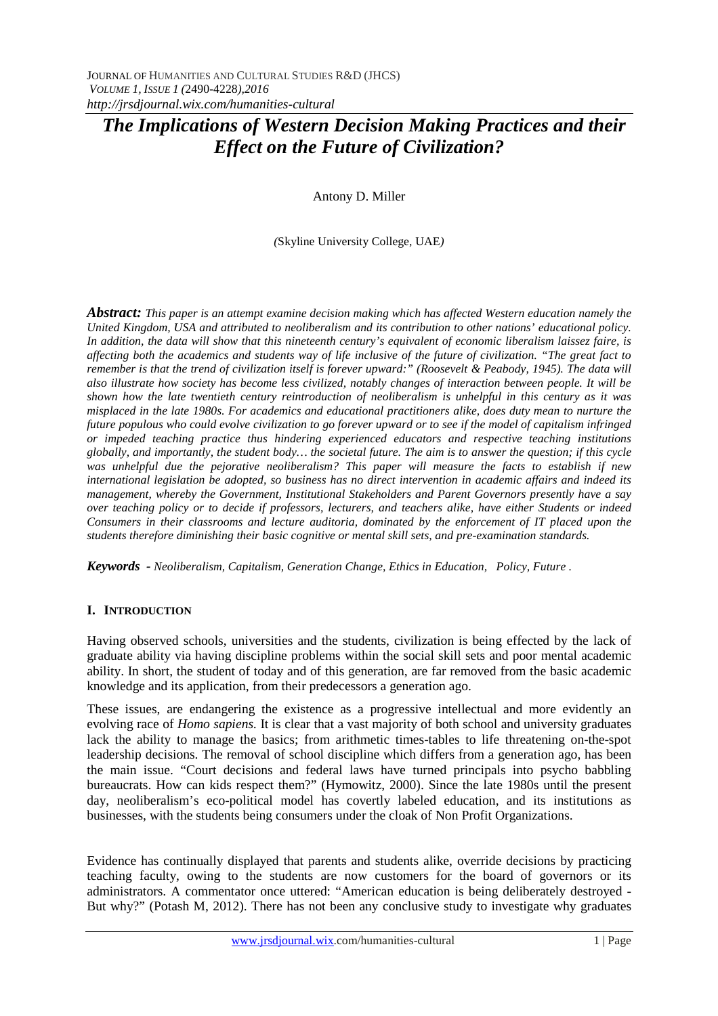Antony D. Miller

*(*Skyline University College, UAE*)*

*Abstract: This paper is an attempt examine decision making which has affected Western education namely the United Kingdom, USA and attributed to neoliberalism and its contribution to other nations' educational policy. In addition, the data will show that this nineteenth century's equivalent of economic liberalism laissez faire, is affecting both the academics and students way of life inclusive of the future of civilization. "The great fact to remember is that the trend of civilization itself is forever upward:" (Roosevelt & Peabody, 1945). The data will also illustrate how society has become less civilized, notably changes of interaction between people. It will be shown how the late twentieth century reintroduction of neoliberalism is unhelpful in this century as it was misplaced in the late 1980s. For academics and educational practitioners alike, does duty mean to nurture the future populous who could evolve civilization to go forever upward or to see if the model of capitalism infringed or impeded teaching practice thus hindering experienced educators and respective teaching institutions globally, and importantly, the student body… the societal future. The aim is to answer the question; if this cycle was unhelpful due the pejorative neoliberalism? This paper will measure the facts to establish if new international legislation be adopted, so business has no direct intervention in academic affairs and indeed its management, whereby the Government, Institutional Stakeholders and Parent Governors presently have a say over teaching policy or to decide if professors, lecturers, and teachers alike, have either Students or indeed Consumers in their classrooms and lecture auditoria, dominated by the enforcement of IT placed upon the students therefore diminishing their basic cognitive or mental skill sets, and pre-examination standards.*

*Keywords - Neoliberalism, Capitalism, Generation Change, Ethics in Education, Policy, Future .*

## **I. INTRODUCTION**

Having observed schools, universities and the students, civilization is being effected by the lack of graduate ability via having discipline problems within the social skill sets and poor mental academic ability. In short, the student of today and of this generation, are far removed from the basic academic knowledge and its application, from their predecessors a generation ago.

These issues, are endangering the existence as a progressive intellectual and more evidently an evolving race of *Homo sapiens.* It is clear that a vast majority of both school and university graduates lack the ability to manage the basics; from arithmetic times-tables to life threatening on-the-spot leadership decisions. The removal of school discipline which differs from a generation ago, has been the main issue. "Court decisions and federal laws have turned principals into psycho babbling bureaucrats. How can kids respect them?" (Hymowitz, 2000). Since the late 1980s until the present day, neoliberalism's eco-political model has covertly labeled education, and its institutions as businesses, with the students being consumers under the cloak of Non Profit Organizations.

Evidence has continually displayed that parents and students alike, override decisions by practicing teaching faculty, owing to the students are now customers for the board of governors or its administrators. A commentator once uttered: "American education is being deliberately destroyed - But why?" (Potash M, 2012). There has not been any conclusive study to investigate why graduates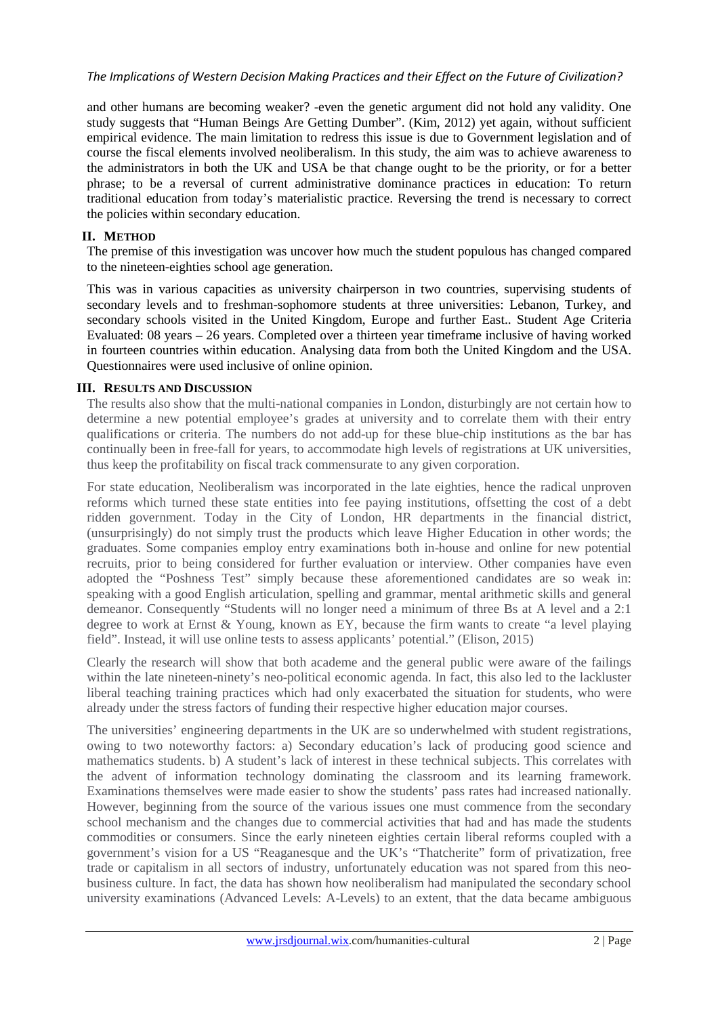and other humans are becoming weaker? -even the genetic argument did not hold any validity. One study suggests that "Human Beings Are Getting Dumber". (Kim, 2012) yet again, without sufficient empirical evidence. The main limitation to redress this issue is due to Government legislation and of course the fiscal elements involved neoliberalism. In this study, the aim was to achieve awareness to the administrators in both the UK and USA be that change ought to be the priority, or for a better phrase; to be a reversal of current administrative dominance practices in education: To return traditional education from today's materialistic practice. Reversing the trend is necessary to correct the policies within secondary education.

## **II. METHOD**

The premise of this investigation was uncover how much the student populous has changed compared to the nineteen-eighties school age generation.

This was in various capacities as university chairperson in two countries, supervising students of secondary levels and to freshman-sophomore students at three universities: Lebanon, Turkey, and secondary schools visited in the United Kingdom, Europe and further East.. Student Age Criteria Evaluated: 08 years – 26 years. Completed over a thirteen year timeframe inclusive of having worked in fourteen countries within education. Analysing data from both the United Kingdom and the USA. Questionnaires were used inclusive of online opinion.

#### **III. RESULTS AND DISCUSSION**

The results also show that the multi-national companies in London, disturbingly are not certain how to determine a new potential employee's grades at university and to correlate them with their entry qualifications or criteria. The numbers do not add-up for these blue-chip institutions as the bar has continually been in free-fall for years, to accommodate high levels of registrations at UK universities, thus keep the profitability on fiscal track commensurate to any given corporation.

For state education, Neoliberalism was incorporated in the late eighties, hence the radical unproven reforms which turned these state entities into fee paying institutions, offsetting the cost of a debt ridden government. Today in the City of London, HR departments in the financial district, (unsurprisingly) do not simply trust the products which leave Higher Education in other words; the graduates. Some companies employ entry examinations both in-house and online for new potential recruits, prior to being considered for further evaluation or interview. Other companies have even adopted the "Poshness Test" simply because these aforementioned candidates are so weak in: speaking with a good English articulation, spelling and grammar, mental arithmetic skills and general demeanor. Consequently "Students will no longer need a minimum of three Bs at A level and a 2:1 degree to work at Ernst & Young, known as EY, because the firm wants to create "a level playing field". Instead, it will use online tests to assess applicants' potential." (Elison, 2015)

Clearly the research will show that both academe and the general public were aware of the failings within the late nineteen-ninety's neo-political economic agenda. In fact, this also led to the lackluster liberal teaching training practices which had only exacerbated the situation for students, who were already under the stress factors of funding their respective higher education major courses.

The universities' engineering departments in the UK are so underwhelmed with student registrations, owing to two noteworthy factors: a) Secondary education's lack of producing good science and mathematics students. b) A student's lack of interest in these technical subjects. This correlates with the advent of information technology dominating the classroom and its learning framework. Examinations themselves were made easier to show the students' pass rates had increased nationally. However, beginning from the source of the various issues one must commence from the secondary school mechanism and the changes due to commercial activities that had and has made the students commodities or consumers. Since the early nineteen eighties certain liberal reforms coupled with a government's vision for a US "Reaganesque and the UK's "Thatcherite" form of privatization, free trade or capitalism in all sectors of industry, unfortunately education was not spared from this neobusiness culture. In fact, the data has shown how neoliberalism had manipulated the secondary school university examinations (Advanced Levels: A-Levels) to an extent, that the data became ambiguous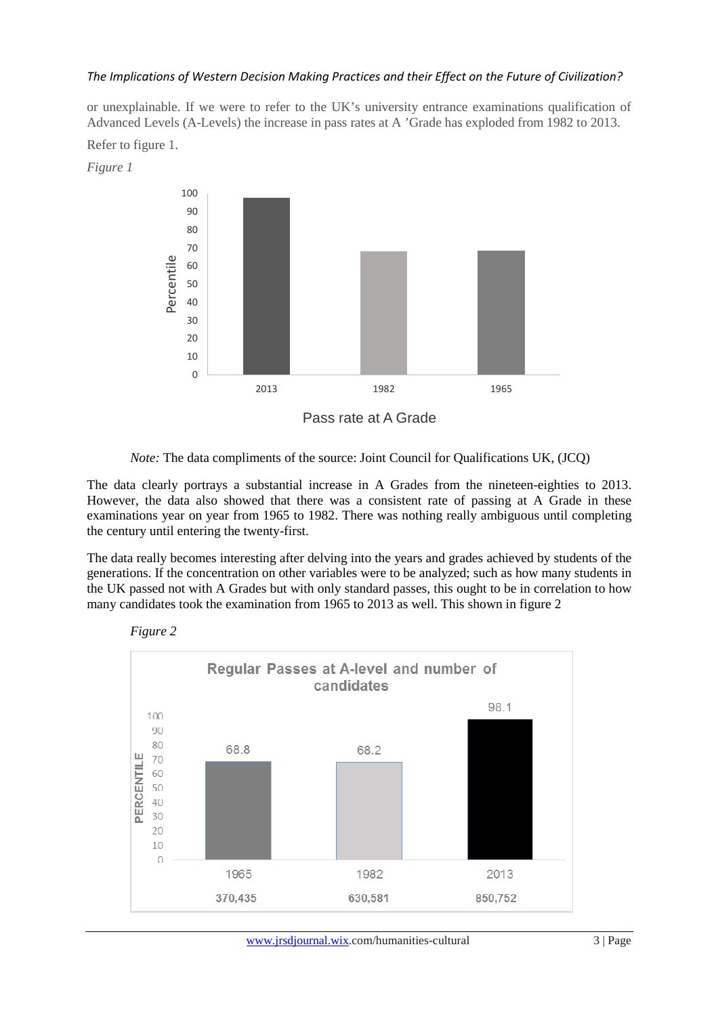or unexplainable. If we were to refer to the UK's university entrance examinations qualification of Advanced Levels (A-Levels) the increase in pass rates at A 'Grade has exploded from 1982 to 2013.



*Note:* The data compliments of the source: Joint Council for Qualifications UK, (JCQ)

The data clearly portrays a substantial increase in A Grades from the nineteen-eighties to 2013. However, the data also showed that there was a consistent rate of passing at A Grade in these examinations year on year from 1965 to 1982. There was nothing really ambiguous until completing the century until entering the twenty-first.

The data really becomes interesting after delving into the years and grades achieved by students of the generations. If the concentration on other variables were to be analyzed; such as how many students in the UK passed not with A Grades but with only standard passes, this ought to be in correlation to how many candidates took the examination from 1965 to 2013 as well. This shown in figure 2



Refer to figure 1.

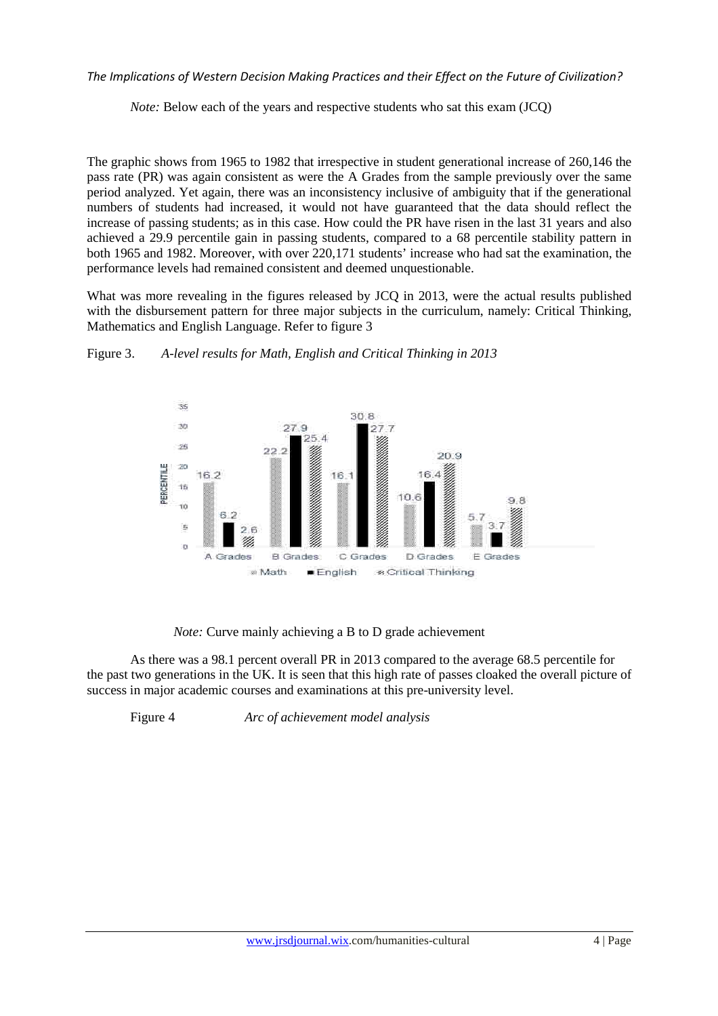*Note:* Below each of the years and respective students who sat this exam (JCQ)

The graphic shows from 1965 to 1982 that irrespective in student generational increase of 260,146 the pass rate (PR) was again consistent as were the A Grades from the sample previously over the same period analyzed. Yet again, there was an inconsistency inclusive of ambiguity that if the generational numbers of students had increased, it would not have guaranteed that the data should reflect the increase of passing students; as in this case. How could the PR have risen in the last 31 years and also achieved a 29.9 percentile gain in passing students, compared to a 68 percentile stability pattern in both 1965 and 1982. Moreover, with over 220,171 students' increase who had sat the examination, the performance levels had remained consistent and deemed unquestionable.

What was more revealing in the figures released by JCQ in 2013, were the actual results published with the disbursement pattern for three major subjects in the curriculum, namely: Critical Thinking, Mathematics and English Language. Refer to figure 3



Figure 3. *A-level results for Math, English and Critical Thinking in 2013* 

*Note:* Curve mainly achieving a B to D grade achievement

As there was a 98.1 percent overall PR in 2013 compared to the average 68.5 percentile for the past two generations in the UK. It is seen that this high rate of passes cloaked the overall picture of success in major academic courses and examinations at this pre-university level.

Figure 4 *Arc of achievement model analysis*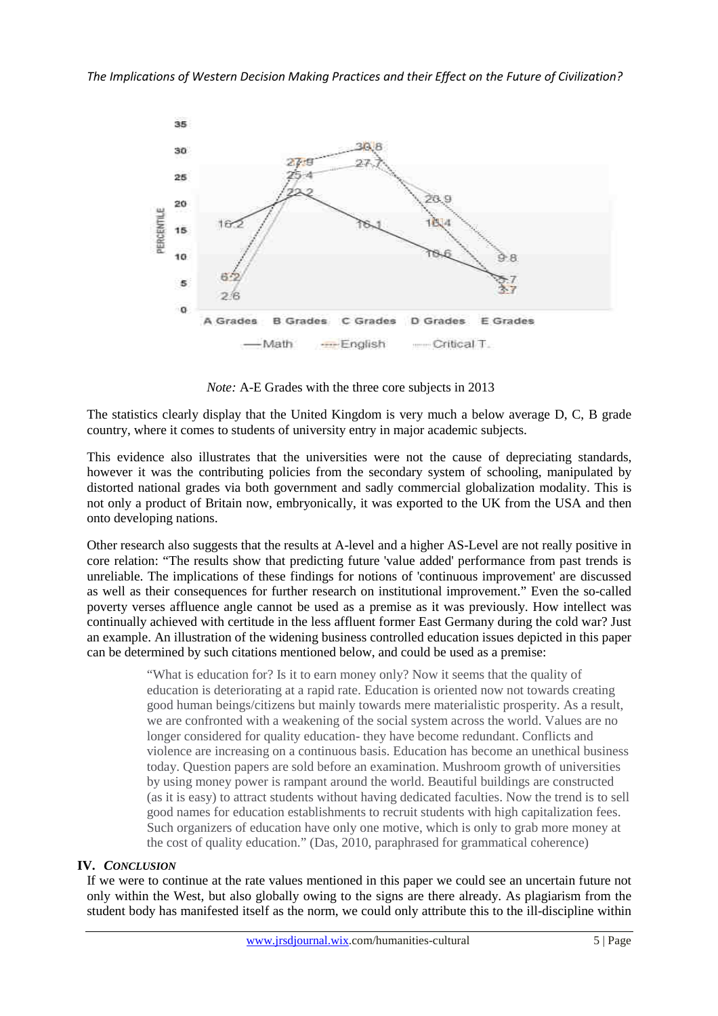

*Note:* A-E Grades with the three core subjects in 2013

The statistics clearly display that the United Kingdom is very much a below average D, C, B grade country, where it comes to students of university entry in major academic subjects.

This evidence also illustrates that the universities were not the cause of depreciating standards, however it was the contributing policies from the secondary system of schooling, manipulated by distorted national grades via both government and sadly commercial globalization modality. This is not only a product of Britain now, embryonically, it was exported to the UK from the USA and then onto developing nations.

Other research also suggests that the results at A-level and a higher AS-Level are not really positive in core relation: "The results show that predicting future 'value added' performance from past trends is unreliable. The implications of these findings for notions of 'continuous improvement' are discussed as well as their consequences for further research on institutional improvement." Even the so-called poverty verses affluence angle cannot be used as a premise as it was previously. How intellect was continually achieved with certitude in the less affluent former East Germany during the cold war? Just an example. An illustration of the widening business controlled education issues depicted in this paper can be determined by such citations mentioned below, and could be used as a premise:

> "What is education for? Is it to earn money only? Now it seems that the quality of education is deteriorating at a rapid rate. Education is oriented now not towards creating good human beings/citizens but mainly towards mere materialistic prosperity. As a result, we are confronted with a weakening of the social system across the world. Values are no longer considered for quality education- they have become redundant. Conflicts and violence are increasing on a continuous basis. Education has become an unethical business today. Question papers are sold before an examination. Mushroom growth of universities by using money power is rampant around the world. Beautiful buildings are constructed (as it is easy) to attract students without having dedicated faculties. Now the trend is to sell good names for education establishments to recruit students with high capitalization fees. Such organizers of education have only one motive, which is only to grab more money at the cost of quality education." (Das, 2010, paraphrased for grammatical coherence)

## **IV.** *CONCLUSION*

If we were to continue at the rate values mentioned in this paper we could see an uncertain future not only within the West, but also globally owing to the signs are there already. As plagiarism from the student body has manifested itself as the norm, we could only attribute this to the ill-discipline within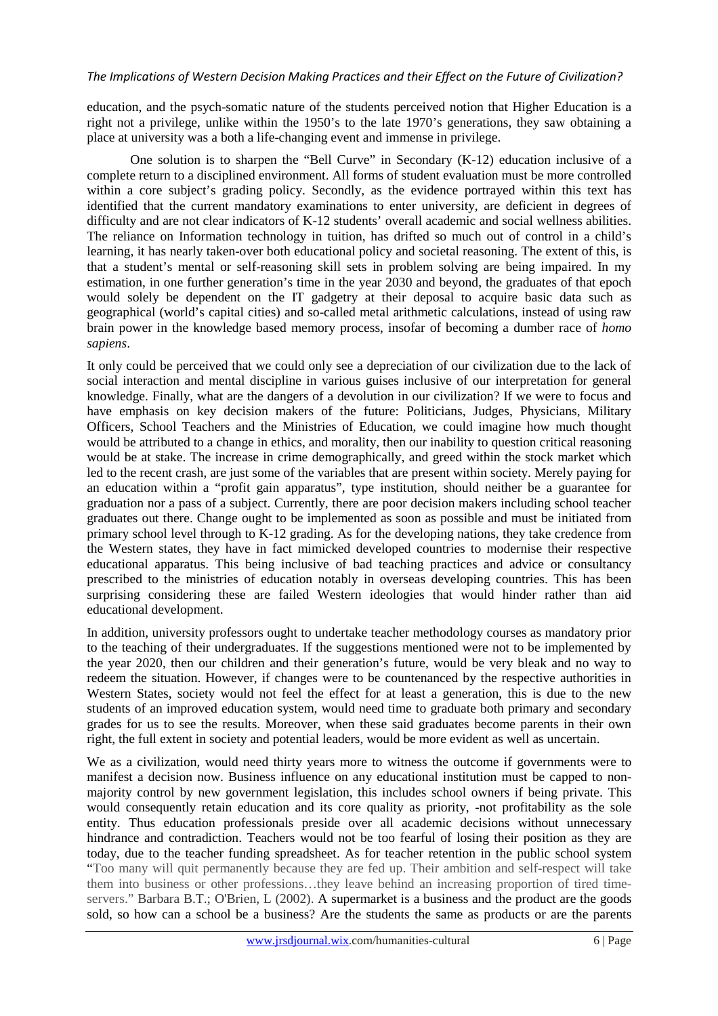education, and the psych-somatic nature of the students perceived notion that Higher Education is a right not a privilege, unlike within the 1950's to the late 1970's generations, they saw obtaining a place at university was a both a life-changing event and immense in privilege.

 One solution is to sharpen the "Bell Curve" in Secondary (K-12) education inclusive of a complete return to a disciplined environment. All forms of student evaluation must be more controlled within a core subject's grading policy. Secondly, as the evidence portrayed within this text has identified that the current mandatory examinations to enter university, are deficient in degrees of difficulty and are not clear indicators of K-12 students' overall academic and social wellness abilities. The reliance on Information technology in tuition, has drifted so much out of control in a child's learning, it has nearly taken-over both educational policy and societal reasoning. The extent of this, is that a student's mental or self-reasoning skill sets in problem solving are being impaired. In my estimation, in one further generation's time in the year 2030 and beyond, the graduates of that epoch would solely be dependent on the IT gadgetry at their deposal to acquire basic data such as geographical (world's capital cities) and so-called metal arithmetic calculations, instead of using raw brain power in the knowledge based memory process, insofar of becoming a dumber race of *homo sapiens*.

It only could be perceived that we could only see a depreciation of our civilization due to the lack of social interaction and mental discipline in various guises inclusive of our interpretation for general knowledge. Finally, what are the dangers of a devolution in our civilization? If we were to focus and have emphasis on key decision makers of the future: Politicians, Judges, Physicians, Military Officers, School Teachers and the Ministries of Education, we could imagine how much thought would be attributed to a change in ethics, and morality, then our inability to question critical reasoning would be at stake. The increase in crime demographically, and greed within the stock market which led to the recent crash, are just some of the variables that are present within society. Merely paying for an education within a "profit gain apparatus", type institution, should neither be a guarantee for graduation nor a pass of a subject. Currently, there are poor decision makers including school teacher graduates out there. Change ought to be implemented as soon as possible and must be initiated from primary school level through to K-12 grading. As for the developing nations, they take credence from the Western states, they have in fact mimicked developed countries to modernise their respective educational apparatus. This being inclusive of bad teaching practices and advice or consultancy prescribed to the ministries of education notably in overseas developing countries. This has been surprising considering these are failed Western ideologies that would hinder rather than aid educational development.

In addition, university professors ought to undertake teacher methodology courses as mandatory prior to the teaching of their undergraduates. If the suggestions mentioned were not to be implemented by the year 2020, then our children and their generation's future, would be very bleak and no way to redeem the situation. However, if changes were to be countenanced by the respective authorities in Western States, society would not feel the effect for at least a generation, this is due to the new students of an improved education system, would need time to graduate both primary and secondary grades for us to see the results. Moreover, when these said graduates become parents in their own right, the full extent in society and potential leaders, would be more evident as well as uncertain.

We as a civilization, would need thirty years more to witness the outcome if governments were to manifest a decision now. Business influence on any educational institution must be capped to nonmajority control by new government legislation, this includes school owners if being private. This would consequently retain education and its core quality as priority, -not profitability as the sole entity. Thus education professionals preside over all academic decisions without unnecessary hindrance and contradiction. Teachers would not be too fearful of losing their position as they are today, due to the teacher funding spreadsheet. As for teacher retention in the public school system "Too many will quit permanently because they are fed up. Their ambition and self-respect will take them into business or other professions…they leave behind an increasing proportion of tired timeservers." Barbara B.T.; O'Brien, L (2002). A supermarket is a business and the product are the goods sold, so how can a school be a business? Are the students the same as products or are the parents